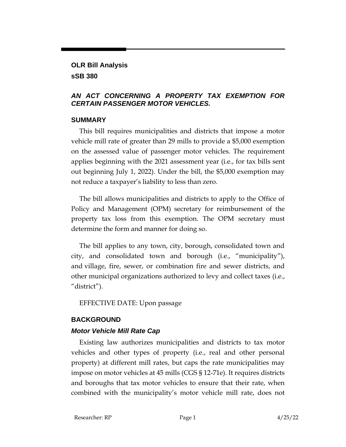#### **OLR Bill Analysis sSB 380**

### *AN ACT CONCERNING A PROPERTY TAX EXEMPTION FOR CERTAIN PASSENGER MOTOR VEHICLES.*

#### **SUMMARY**

This bill requires municipalities and districts that impose a motor vehicle mill rate of greater than 29 mills to provide a \$5,000 exemption on the assessed value of passenger motor vehicles. The requirement applies beginning with the 2021 assessment year (i.e., for tax bills sent out beginning July 1, 2022). Under the bill, the \$5,000 exemption may not reduce a taxpayer's liability to less than zero.

The bill allows municipalities and districts to apply to the Office of Policy and Management (OPM) secretary for reimbursement of the property tax loss from this exemption. The OPM secretary must determine the form and manner for doing so.

The bill applies to any town, city, borough, consolidated town and city, and consolidated town and borough (i.e., "municipality"), and village, fire, sewer, or combination fire and sewer districts, and other municipal organizations authorized to levy and collect taxes (i.e., "district").

EFFECTIVE DATE: Upon passage

# **BACKGROUND**

# *Motor Vehicle Mill Rate Cap*

Existing law authorizes municipalities and districts to tax motor vehicles and other types of property (i.e., real and other personal property) at different mill rates, but caps the rate municipalities may impose on motor vehicles at 45 mills (CGS § 12-71e). It requires districts and boroughs that tax motor vehicles to ensure that their rate, when combined with the municipality's motor vehicle mill rate, does not